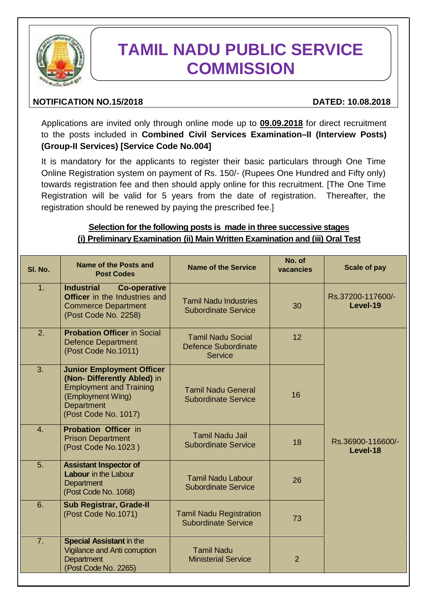

# **TAMIL NADU PUBLIC SERVICE COMMISSION**

# **NOTIFICATION NO.15/2018 DATED: 10.08.2018**

Applications are invited only through online mode up to **09.09.2018** for direct recruitment to the posts included in **Combined Civil Services Examination–II (Interview Posts) (Group-II Services) [Service Code No.004]**

It is mandatory for the applicants to register their basic particulars through One Time Online Registration system on payment of Rs. 150/- (Rupees One Hundred and Fifty only) towards registration fee and then should apply online for this recruitment. [The One Time Registration will be valid for 5 years from the date of registration. Thereafter, the registration should be renewed by paying the prescribed fee.]

# **Selection for the following posts is made in three successive stages (i) Preliminary Examination (ii) Main Written Examination and (iii) Oral Test**

| SI. No. | Name of the Posts and<br><b>Post Codes</b>                                                                                                                   | Name of the Service                                                      | No. of<br>vacancies | <b>Scale of pay</b>           |
|---------|--------------------------------------------------------------------------------------------------------------------------------------------------------------|--------------------------------------------------------------------------|---------------------|-------------------------------|
| 1.      | <b>Industrial</b><br><b>Co-operative</b><br><b>Officer</b> in the Industries and<br><b>Commerce Department</b><br>(Post Code No. 2258)                       | <b>Tamil Nadu Industries</b><br><b>Subordinate Service</b>               | 30                  | Rs.37200-117600/-<br>Level-19 |
| 2.      | <b>Probation Officer in Social</b><br><b>Defence Department</b><br>(Post Code No.1011)                                                                       | <b>Tamil Nadu Social</b><br><b>Defence Subordinate</b><br><b>Service</b> | 12                  |                               |
| 3.      | <b>Junior Employment Officer</b><br>(Non- Differently Abled) in<br><b>Employment and Training</b><br>(Employment Wing)<br>Department<br>(Post Code No. 1017) | <b>Tamil Nadu General</b><br><b>Subordinate Service</b>                  | 16                  |                               |
| 4.      | <b>Probation Officer in</b><br><b>Prison Department</b><br>(Post Code No.1023)                                                                               | <b>Tamil Nadu Jail</b><br><b>Subordinate Service</b>                     | 18                  | Rs.36900-116600/-<br>Level-18 |
| 5.      | <b>Assistant Inspector of</b><br>Labour in the Labour<br>Department<br>(Post Code No. 1068)                                                                  | <b>Tamil Nadu Labour</b><br><b>Subordinate Service</b>                   | 26                  |                               |
| 6.      | <b>Sub Registrar, Grade-II</b><br>(Post Code No.1071)                                                                                                        | <b>Tamil Nadu Registration</b><br><b>Subordinate Service</b>             | 73                  |                               |
| 7.      | <b>Special Assistant in the</b><br>Vigilance and Anti corruption<br>Department<br>(Post Code No. 2265)                                                       | <b>Tamil Nadu</b><br><b>Ministerial Service</b>                          | $\overline{2}$      |                               |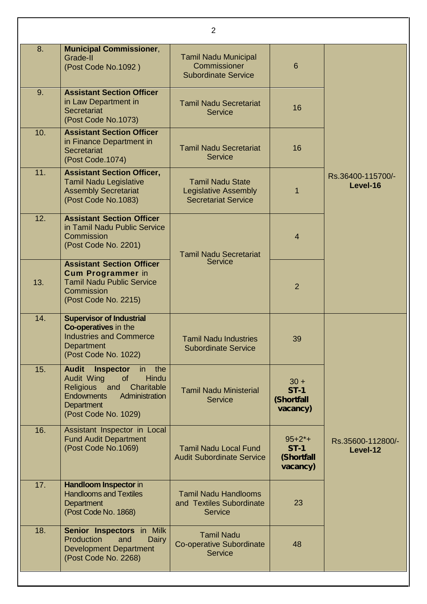|     |                                                                                                                                                                                               | $\overline{2}$                                                                       |                                                 |                               |
|-----|-----------------------------------------------------------------------------------------------------------------------------------------------------------------------------------------------|--------------------------------------------------------------------------------------|-------------------------------------------------|-------------------------------|
| 8.  | <b>Municipal Commissioner,</b><br>Grade-II<br>(Post Code No.1092)                                                                                                                             | <b>Tamil Nadu Municipal</b><br>Commissioner<br><b>Subordinate Service</b>            | 6                                               |                               |
| 9.  | <b>Assistant Section Officer</b><br>in Law Department in<br><b>Secretariat</b><br>(Post Code No.1073)                                                                                         | <b>Tamil Nadu Secretariat</b><br><b>Service</b>                                      | 16                                              |                               |
| 10. | <b>Assistant Section Officer</b><br>in Finance Department in<br>Secretariat<br>(Post Code.1074)                                                                                               | <b>Tamil Nadu Secretariat</b><br><b>Service</b>                                      | 16                                              |                               |
| 11. | <b>Assistant Section Officer,</b><br><b>Tamil Nadu Legislative</b><br><b>Assembly Secretariat</b><br>(Post Code No.1083)                                                                      | <b>Tamil Nadu State</b><br><b>Legislative Assembly</b><br><b>Secretariat Service</b> |                                                 | Rs.36400-115700/-<br>Level-16 |
| 12. | <b>Assistant Section Officer</b><br>in Tamil Nadu Public Service<br>Commission<br>(Post Code No. 2201)                                                                                        | <b>Tamil Nadu Secretariat</b>                                                        | 4                                               |                               |
| 13. | <b>Assistant Section Officer</b><br><b>Cum Programmer in</b><br><b>Tamil Nadu Public Service</b><br>Commission<br>(Post Code No. 2215)                                                        | Service                                                                              | $\overline{2}$                                  |                               |
| 14. | <b>Supervisor of Industrial</b><br>Co-operatives in the<br><b>Industries and Commerce</b><br>Department<br>(Post Code No. 1022)                                                               | <b>Tamil Nadu Industries</b><br><b>Subordinate Service</b>                           | 39                                              |                               |
| 15. | <b>Audit</b><br><b>Inspector</b><br>the<br>in<br><b>Hindu</b><br>Audit Wing<br>of<br>Religious and<br>Charitable<br><b>Endowments</b><br>Administration<br>Department<br>(Post Code No. 1029) | <b>Tamil Nadu Ministerial</b><br><b>Service</b>                                      | $30 +$<br><b>ST-1</b><br>(Shortfall<br>vacancy) |                               |
| 16. | Assistant Inspector in Local<br><b>Fund Audit Department</b><br>(Post Code No.1069)                                                                                                           | <b>Tamil Nadu Local Fund</b><br><b>Audit Subordinate Service</b>                     | $95+2+$<br>$ST-1$<br>(Shortfall<br>vacancy)     | Rs.35600-112800/-<br>Level-12 |
| 17. | Handloom Inspector in<br><b>Handlooms and Textiles</b><br>Department<br>(Post Code No. 1868)                                                                                                  | <b>Tamil Nadu Handlooms</b><br>and Textiles Subordinate<br><b>Service</b>            | 23                                              |                               |
| 18. | Senior Inspectors in Milk<br>Production<br>and<br>Dairy<br><b>Development Department</b><br>(Post Code No. 2268)                                                                              | <b>Tamil Nadu</b><br><b>Co-operative Subordinate</b><br><b>Service</b>               | 48                                              |                               |